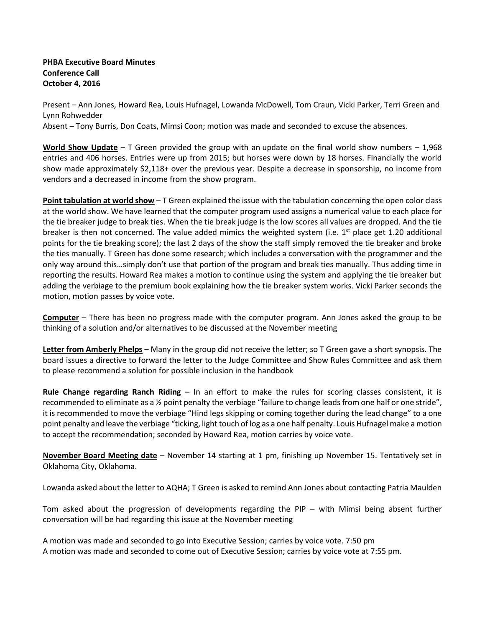## **PHBA Executive Board Minutes Conference Call October 4, 2016**

Present – Ann Jones, Howard Rea, Louis Hufnagel, Lowanda McDowell, Tom Craun, Vicki Parker, Terri Green and Lynn Rohwedder

Absent – Tony Burris, Don Coats, Mimsi Coon; motion was made and seconded to excuse the absences.

**World Show Update** – T Green provided the group with an update on the final world show numbers – 1,968 entries and 406 horses. Entries were up from 2015; but horses were down by 18 horses. Financially the world show made approximately \$2,118+ over the previous year. Despite a decrease in sponsorship, no income from vendors and a decreased in income from the show program.

**Point tabulation at world show** – T Green explained the issue with the tabulation concerning the open color class at the world show. We have learned that the computer program used assigns a numerical value to each place for the tie breaker judge to break ties. When the tie break judge is the low scores all values are dropped. And the tie breaker is then not concerned. The value added mimics the weighted system (i.e.  $1<sup>st</sup>$  place get 1.20 additional points for the tie breaking score); the last 2 days of the show the staff simply removed the tie breaker and broke the ties manually. T Green has done some research; which includes a conversation with the programmer and the only way around this…simply don't use that portion of the program and break ties manually. Thus adding time in reporting the results. Howard Rea makes a motion to continue using the system and applying the tie breaker but adding the verbiage to the premium book explaining how the tie breaker system works. Vicki Parker seconds the motion, motion passes by voice vote.

**Computer** – There has been no progress made with the computer program. Ann Jones asked the group to be thinking of a solution and/or alternatives to be discussed at the November meeting

**Letter from Amberly Phelps** – Many in the group did not receive the letter; so T Green gave a short synopsis. The board issues a directive to forward the letter to the Judge Committee and Show Rules Committee and ask them to please recommend a solution for possible inclusion in the handbook

**Rule Change regarding Ranch Riding** – In an effort to make the rules for scoring classes consistent, it is recommended to eliminate as a 1/2 point penalty the verbiage "failure to change leads from one half or one stride", it is recommended to move the verbiage "Hind legs skipping or coming together during the lead change" to a one point penalty and leave the verbiage "ticking, light touch of log as a one half penalty. Louis Hufnagel make a motion to accept the recommendation; seconded by Howard Rea, motion carries by voice vote.

**November Board Meeting date** – November 14 starting at 1 pm, finishing up November 15. Tentatively set in Oklahoma City, Oklahoma.

Lowanda asked about the letter to AQHA; T Green is asked to remind Ann Jones about contacting Patria Maulden

Tom asked about the progression of developments regarding the PIP – with Mimsi being absent further conversation will be had regarding this issue at the November meeting

A motion was made and seconded to go into Executive Session; carries by voice vote. 7:50 pm A motion was made and seconded to come out of Executive Session; carries by voice vote at 7:55 pm.